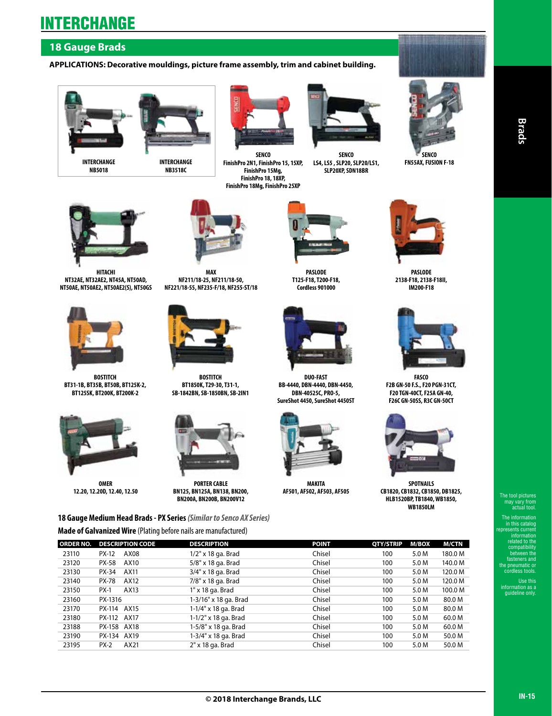### **18 Gauge Brads**

#### **APPLICATIONS: Decorative mouldings, picture frame assembly, trim and cabinet building.**





**SENCO FinishPro 2N1, FinishPro 15, 15XP, FinishPro 15Mg, FinishPro 18, 18XP, FinishPro 18Mg, FinishPro 25XP** 



**SENCO LS4, LS5 , SLP20, SLP20/LS1, SLP20XP, SDN18BR**



**SENCO FN55AX, FUSION F-18**



**HITACHI NT32AE, NT32AE2, NT45A, NT50AD, NT50AE, NT50AE2, NT50AE2(S), NT50GS** 



**BOSTITCH BT31-1B, BT35B, BT50B, BT125K-2, BT125SK, BT200K, BT200K-2**



**OMER 12.20, 12.20D, 12.40, 12.50**



**NF211/18-25, NF211/18-50, NF221/18-55, NF235-F/18, NF255-ST/18**



**BOSTITCH BT1850K, T29-30, T31-1, SB-1842BN, SB-1850BN, SB-2IN1** 



**PORTER CABLE BN125, BN125A, BN138, BN200, BN200A, BN200B, BN200V12**

**18 Gauge Medium Head Brads - PX Series** *(Similar to Senco AX Series)* **Made of Galvanized Wire** (Plating before nails are manufactured)

**DUO-FAST BB-4440, DBN-4440, DBN-4450, DBN-40525C, PRO-5, SureShot 4450, SureShot 4450ST**

**PASLODE T125-F18, T200-F18, Cordless 901000**

**MAKITA AF501, AF502, AF503, AF505** 



**PASLODE 2138-F18, 2138-F18II, IM200-F18**



**FASCO F2B GN-50 F.S., F20 PGN-31CT, F20 TGN-40CT, F25A GN-40, F26C GN-50SS, R3C GN-50CT**



**SPOTNAILS CB1820, CB1832, CB1850, DB1825, HLB1520BP, TB1840, WB1850,** 



**WB1850LM**

| <b>ORDER NO.</b> | <b>DESCRIPTION CODE</b> | <b>DESCRIPTION</b>    | <b>POINT</b> | QTY/STRIP | M/BOX | <b>M/CTN</b> |
|------------------|-------------------------|-----------------------|--------------|-----------|-------|--------------|
| 23110            | AX08<br><b>PX-12</b>    | $1/2"$ x 18 ga. Brad  | Chisel       | 100       | 5.0 M | 180.0 M      |
| 23120            | AX10<br><b>PX-58</b>    | 5/8" x 18 ga. Brad    | Chisel       | 100       | 5.0 M | 140.0 M      |
| 23130            | AX11<br><b>PX-34</b>    | 3/4" x 18 ga. Brad    | Chisel       | 100       | 5.0 M | 120.0 M      |
| 23140            | AX12<br><b>PX-78</b>    | 7/8" x 18 ga. Brad    | Chisel       | 100       | 5.0 M | 120.0 M      |
| 23150            | $PX-1$<br>AX13          | 1" x 18 ga. Brad      | Chisel       | 100       | 5.0 M | 100.0 M      |
| 23160            | PX-1316                 | 1-3/16" x 18 ga. Brad | Chisel       | 100       | 5.0 M | 80.0 M       |
| 23170            | PX-114 AX15             | 1-1/4" x 18 ga. Brad  | Chisel       | 100       | 5.0 M | 80.0 M       |
| 23180            | AX17<br>PX-112          | 1-1/2" x 18 ga. Brad  | Chisel       | 100       | 5.0 M | 60.0 M       |
| 23188            | PX-158 AX18             | 1-5/8" x 18 ga. Brad  | Chisel       | 100       | 5.0 M | 60.0 M       |
| 23190            | PX-134 AX19             | 1-3/4" x 18 ga. Brad  | Chisel       | 100       | 5.0 M | 50.0 M       |
| 23195            | AX21<br>$PX-2$          | $2"$ x 18 ga. Brad    | Chisel       | 100       | 5.0 M | 50.0 M       |

**Brads**

in this catalog represents current information related to the compatibility between the fasteners and the pneumatic or cordless tools.

Use this information as a guideline only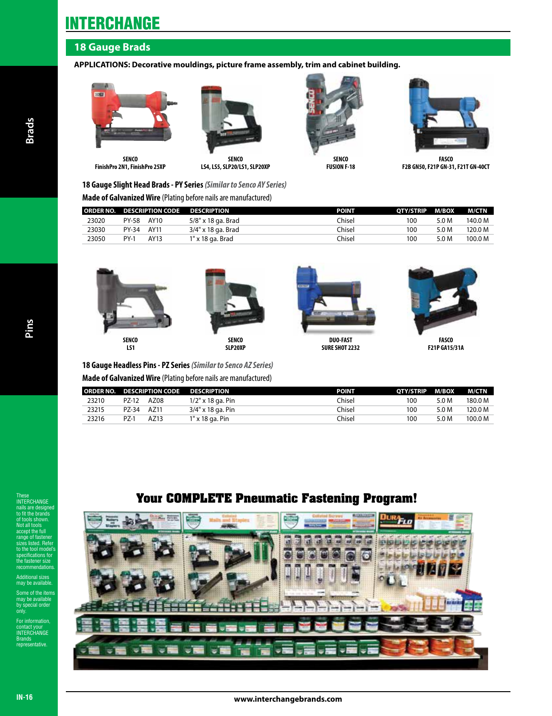### **18 Gauge Brads**

#### **APPLICATIONS: Decorative mouldings, picture frame assembly, trim and cabinet building.**



**SENCO FinishPro 2N1, FinishPro 25XP**



**SENCO LS4, LS5, SLP20/LS1, SLP20XP**



**SENCO FUSION F-18**



**FASCO F2B GN50, F21P GN-31, F21T GN-40CT**

#### **18 Gauge Slight Head Brads - PY Series** *(Similar to Senco AY Series)*

#### **Made of Galvanized Wire** (Plating before nails are manufactured)

|       |             |      | ORDER NO. DESCRIPTION CODE DESCRIPTION | <b>POINT</b> | OTY/STRIP M/BOX |       | M/CTN   |
|-------|-------------|------|----------------------------------------|--------------|-----------------|-------|---------|
| 23020 | PY-58       | AY10 | 5/8" x 18 ga. Brad                     | Chisel       | 100             | 5.0 M | 140.0 M |
| 23030 | PY-34       | AY11 | 3/4" x 18 ga. Brad                     | Chisel       | 100             | 5.0 M | 120.0 M |
| 23050 | <b>PY-1</b> | AY13 | 1" x 18 ga. Brad                       | Chisel       | 100             | 5.0 M | 100.0 M |







**DUO-FAST SURE SHOT 2232**



**F21P GA15/31A**

| 18 Gauge Headless Pins - PZ Series (Similar to Senco AZ Series) |
|-----------------------------------------------------------------|
| Made of Galvanized Wire (Plating before nails are manufactured) |

| 23210<br>Chisel<br>PZ-12<br>AZ08<br>$1/2"$ x 18 ga. Pin<br>100 | 5.0 M | 180.0 M |
|----------------------------------------------------------------|-------|---------|
| 23215<br>Chisel<br>100<br>AZ11<br>PZ-34<br>3/4" x 18 ga. Pin   | 5.0 M | 120.0 M |
| 23216<br>PZ-1<br>100<br>Chisel<br>AZ13<br>1" x 18 ga. Pin      | 5.0 M | 100.0 M |

## **Your COMPLETE Pneumatic Fastening Program!**



These INTERCHANGE nails are designed the brand of tools shown. all tools accept the full range of fastener listed. Ref tool m specifications for fastener siz mendatio Additional sizes may be available.

Some of the items may be available by special order

only. For information, contact your INTERCHANGE Brands representative.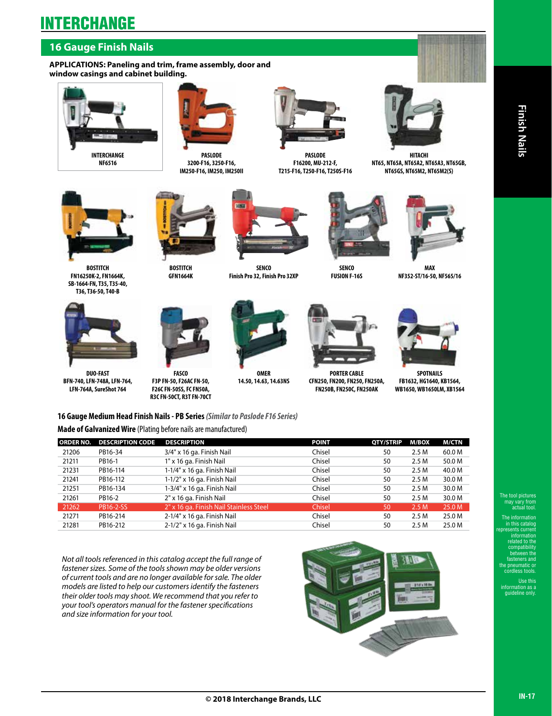### **16 Gauge Finish Nails**

**APPLICATIONS: Paneling and trim, frame assembly, door and window casings and cabinet building.**





**PASLODE 3200-F16, 3250-F16, IM250-F16, IM250, IM250II**



**PASLODE F16200, MU-212-F, T215-F16, T250-F16, T250S-F16** 



**HITACHI NT65, NT65A, NT65A2, NT65A3, NT65GB, NT65GS, NT65M2, NT65M2(S)**



**BOSTITCH FN16250K-2, FN1664K, SB-1664-FN, T35, T35-40,** 



**GFN1664K**



**SENCO Finish Pro 32, Finish Pro 32XP**



**SENCO FUSION F-16S**



**MAX NF352-ST/16-50, NF565/16** 



**T36, T36-50, T40-B**

**DUO-FAST BFN-740, LFN-748A, LFN-764, LFN-764A, SureShot 764**



**FASCO F3P FN-50, F26AC FN-50, F26C FN-50SS, FC FN50A, R3C FN-50CT, R3T FN-70CT** 



**OMER 14.50, 14.63, 14.63NS**



**PORTER CABLE CFN250, FN200, FN250, FN250A, FN250B, FN250C, FN250AK**



**SPOTNAILS FB1632, HG1640, KB1564, WB1650, WB1650LM, XB1564**

**16 Gauge Medium Head Finish Nails - PB Series** *(Similar to Paslode F16 Series)* **Made of Galvanized Wire** (Plating before nails are manufactured)

| <b>ORDER NO.</b> | <b>DESCRIPTION CODE</b> | <b>DESCRIPTION</b>                      | <b>POINT</b> | <b>OTY/STRIP</b> | M/BOX | <b>M/CTN</b> |
|------------------|-------------------------|-----------------------------------------|--------------|------------------|-------|--------------|
| 21206            | PB16-34                 | 3/4" x 16 ga. Finish Nail               | Chisel       | 50               | 2.5 M | 60.0 M       |
| 21211            | PB16-1                  | 1" x 16 ga. Finish Nail                 | Chisel       | 50               | 2.5 M | 50.0 M       |
| 21231            | PB16-114                | 1-1/4" x 16 ga. Finish Nail             | Chisel       | 50               | 2.5M  | 40.0 M       |
| 21241            | PB16-112                | 1-1/2" x 16 ga. Finish Nail             | Chisel       | 50               | 2.5M  | 30.0 M       |
| 21251            | PB16-134                | 1-3/4" x 16 ga. Finish Nail             | Chisel       | 50               | 2.5M  | 30.0 M       |
| 21261            | PB16-2                  | 2" x 16 ga. Finish Nail                 | Chisel       | 50               | 2.5M  | 30.0 M       |
| 21262            | PB16-2-SS               | 2" x 16 ga. Finish Nail Stainless Steel | Chisel       | 50               | 2.5M  | 25.0 M       |
| 21271            | PB16-214                | 2-1/4" x 16 ga. Finish Nail             | Chisel       | 50               | 2.5M  | 25.0 M       |
| 21281            | PB16-212                | 2-1/2" x 16 ga. Finish Nail             | Chisel       | 50               | 2.5M  | 25.0 M       |

*Not all tools referenced in this catalog accept the full range of fastener sizes. Some of the tools shown may be older versions of current tools and are no longer available for sale. The older models are listed to help our customers identify the fasteners their older tools may shoot. We recommend that you refer to your tool's operators manual for the fastener specifications and size information for your tool.*



The information in this catalog represents current information related to the compatibility between the fasteners and the pneumatic or cordless tools.

Use this iformation as a guideline only.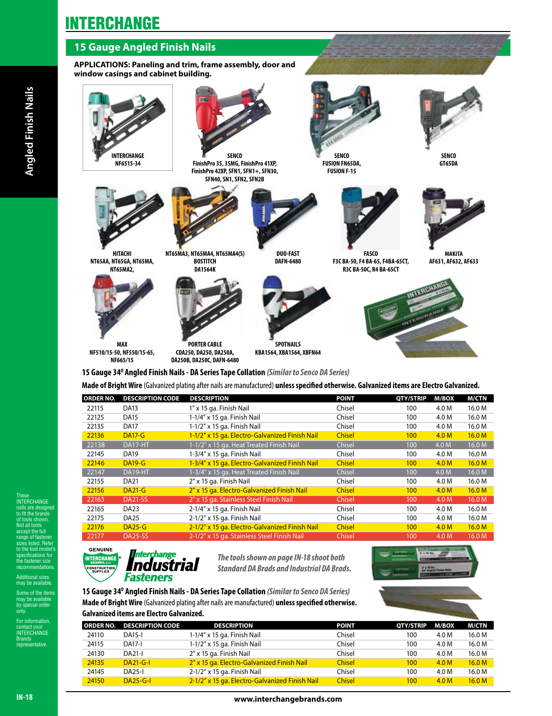### **15 Gauge Angled Finish Nails**

**APPLICATIONS: Paneling and trim, frame assembly, door and window casings and cabinet building.**



| <b>ORDER NO.</b> | <b>DESCRIPTION CODE</b> | <b>DESCRIPTION</b>                             | <b>POINT</b>  | QTY/STRIP  | M/BOX            | M/CTN  |
|------------------|-------------------------|------------------------------------------------|---------------|------------|------------------|--------|
| 22115            | <b>DA13</b>             | 1" x 15 ga. Finish Nail                        | Chisel        | 100        | 4.0 M            | 16.0 M |
| 22125            | <b>DA15</b>             | 1-1/4" x 15 ga. Finish Nail                    | Chisel        | 100        | 4.0 M            | 16.0 M |
| 22135            | <b>DA17</b>             | 1-1/2" x 15 ga. Finish Nail                    | Chisel        | 100        | 4.0 M            | 16.0 M |
| 22136            | <b>DA17-G</b>           | 1-1/2" x 15 ga. Electro-Galvanized Finish Nail | <b>Chisel</b> | 100        | 4.0 <sub>M</sub> | 16.0 M |
| 22138            | DA17-HT                 | 1-1/2" x 15 ga. Heat Treated Finish Nail       | Chisel        | 100        | 4.0 M            | 16.0 M |
| 22145            | <b>DA19</b>             | 1-3/4" x 15 ga. Finish Nail                    | Chisel        | 100        | 4.0 M            | 16.0 M |
| 22146            | <b>DA19-G</b>           | 1-3/4" x 15 ga. Electro-Galvanized Finish Nail | <b>Chisel</b> | 100        | 4.0 <sub>M</sub> | 16.0 M |
| 22147            | DA19-HT                 | 1-3/4" x 15 ga. Heat Treated Finish Nail       | Chisel        | 100        | 4.0 M            | 16.0 M |
| 22155            | <b>DA21</b>             | 2" x 15 ga. Finish Nail                        | Chisel        | 100        | 4.0 M            | 16.0 M |
| 22156            | <b>DA21-G</b>           | 2" x 15 ga. Electro-Galvanized Finish Nail     | <b>Chisel</b> | 100        | 4.0 M            | 16.0 M |
| 22163            | DA21-SS                 | 2" x 15 ga. Stainless Steel Finish Nail        | Chisel        | 100        | 4.0 M            | 16.0 M |
| 22165            | DA <sub>23</sub>        | 2-1/4" x 15 ga. Finish Nail                    | Chisel        | 100        | 4.0 M            | 16.0 M |
| 22175            | DA <sub>25</sub>        | 2-1/2" x 15 ga. Finish Nail                    | Chisel        | 100        | 4.0 M            | 16.0 M |
| 22176            | $DA25-G$                | 2-1/2" x 15 ga. Electro-Galvanized Finish Nail | <b>Chisel</b> | <b>100</b> | 4.0 M            | 16.0 M |
| 22177            | <b>DA25-SS</b>          | 2-1/2" x 15 ga. Stainless Steel Finish Nail    | Chisel        | 100        | 4.0 M            | 16.0 M |

**GENUINE INTERCHANGE** Industrial **DNSTRUCTIC**<br>SUPPLIES Fasteners

*The tools shown on page IN-18 shoot both Standard DA Brads and Industrial DA Brads.*



**15 Gauge 34O Angled Finish Nails - DA Series Tape Collation** *(Similar to Senco DA Series)* **Made of Bright Wire** (Galvanized plating after nails are manufactured) **unless specified otherwise. Galvanized items are Electro Galvanized.**

|       | ORDER NO. DESCRIPTION CODE | <b>DESCRIPTION</b>                             | <b>POINT</b>  | <b>OTY/STRIP</b> | M/BOX            | M/CTN             |
|-------|----------------------------|------------------------------------------------|---------------|------------------|------------------|-------------------|
| 24110 | <b>DA15-I</b>              | 1-1/4" x 15 ga. Finish Nail                    | Chisel        | 100              | 4.0 M            | 16.0 M            |
| 24115 | <b>DA17-I</b>              | 1-1/2" x 15 ga. Finish Nail                    | Chisel        | 100              | 4.0 M            | 16.0 M            |
| 24130 | <b>DA21-I</b>              | 2" x 15 ga. Finish Nail                        | Chisel        | 100              | 4.0 M            | 16.0 M            |
| 24135 | $DA21-G-I$                 | 2" x 15 ga. Electro-Galvanized Finish Nail     | <b>Chisel</b> | 100              | 4.0 <sub>M</sub> | 16.0 <sub>M</sub> |
| 24145 | <b>DA25-I</b>              | 2-1/2" x 15 ga. Finish Nail                    | Chisel        | 100              | 4.0 M            | 16.0 M            |
| 24150 | $DA25-G-I$                 | 2-1/2" x 15 ga. Electro-Galvanized Finish Nail | <b>Chisel</b> | 100              | 4.0 <sub>M</sub> | 16.0 <sub>M</sub> |

These INTERCHANGE are desi to fit the brands of tools shown. Not all tools accept the full range of fastener listed. Refe e tool mo specifications for fastener size mendatio Additional sizes may be available. Some of the items may be available by special order only. For information, contact your<br>INTERCHANGE Brands representative.